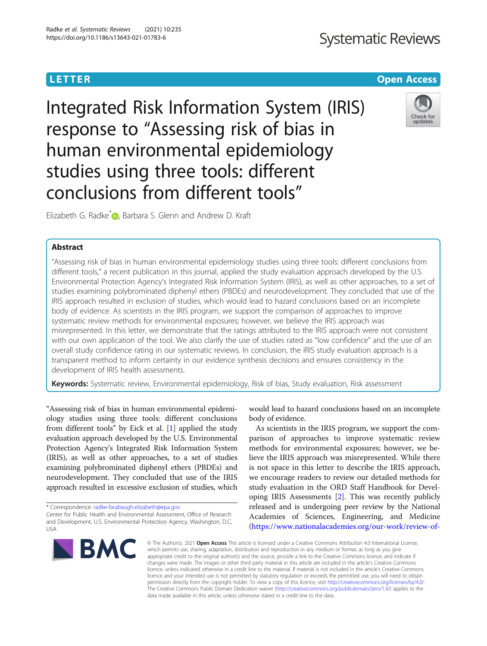# **Systematic Reviews**

# <u>L E T E T ER Open [Access](http://crossmark.crossref.org/dialog/?doi=10.1186/s13643-021-01783-6&domain=pdf) and the Europe Access and the Europe Access and the Europe Access and the Europe Acce</u>s

Integrated Risk Information System (IRIS) response to "Assessing risk of bias in human environmental epidemiology studies using three tools: different conclusions from different tools"



Elizabeth G. Radke<sup>[\\*](http://orcid.org/0000-0002-2504-2405)</sup> D. Barbara S. Glenn and Andrew D. Kraft

# **Abstract**

"Assessing risk of bias in human environmental epidemiology studies using three tools: different conclusions from different tools," a recent publication in this journal, applied the study evaluation approach developed by the U.S. Environmental Protection Agency's Integrated Risk Information System (IRIS), as well as other approaches, to a set of studies examining polybrominated diphenyl ethers (PBDEs) and neurodevelopment. They concluded that use of the IRIS approach resulted in exclusion of studies, which would lead to hazard conclusions based on an incomplete body of evidence. As scientists in the IRIS program, we support the comparison of approaches to improve systematic review methods for environmental exposures; however, we believe the IRIS approach was misrepresented. In this letter, we demonstrate that the ratings attributed to the IRIS approach were not consistent with our own application of the tool. We also clarify the use of studies rated as "low confidence" and the use of an overall study confidence rating in our systematic reviews. In conclusion, the IRIS study evaluation approach is a transparent method to inform certainty in our evidence synthesis decisions and ensures consistency in the development of IRIS health assessments.

Keywords: Systematic review, Environmental epidemiology, Risk of bias, Study evaluation, Risk assessment

"Assessing risk of bias in human environmental epidemiology studies using three tools: different conclusions from different tools" by Eick et al. [\[1\]](#page-2-0) applied the study evaluation approach developed by the U.S. Environmental Protection Agency's Integrated Risk Information System (IRIS), as well as other approaches, to a set of studies examining polybrominated diphenyl ethers (PBDEs) and neurodevelopment. They concluded that use of the IRIS approach resulted in excessive exclusion of studies, which

\* Correspondence: [radke-farabaugh.elizabeth@epa.gov](mailto:radke-farabaugh.elizabeth@epa.gov)

Center for Public Health and Environmental Assessment, Office of Research and Development, U.S. Environmental Protection Agency, Washington, D.C, USA



would lead to hazard conclusions based on an incomplete body of evidence.

As scientists in the IRIS program, we support the comparison of approaches to improve systematic review methods for environmental exposures; however, we believe the IRIS approach was misrepresented. While there is not space in this letter to describe the IRIS approach, we encourage readers to review our detailed methods for study evaluation in the ORD Staff Handbook for Developing IRIS Assessments [\[2\]](#page-2-0). This was recently publicly released and is undergoing peer review by the National Academies of Sciences, Engineering, and Medicine ([https://www.nationalacademies.org/our-work/review-of-](https://www.nationalacademies.org/our-work/review-of-epas-iris-assessment-handbook)

© The Author(s), 2021 **Open Access** This article is licensed under a Creative Commons Attribution 4.0 International License, which permits use, sharing, adaptation, distribution and reproduction in any medium or format, as long as you give appropriate credit to the original author(s) and the source, provide a link to the Creative Commons licence, and indicate if changes were made. The images or other third party material in this article are included in the article's Creative Commons licence, unless indicated otherwise in a credit line to the material. If material is not included in the article's Creative Commons licence and your intended use is not permitted by statutory regulation or exceeds the permitted use, you will need to obtain permission directly from the copyright holder. To view a copy of this licence, visit [http://creativecommons.org/licenses/by/4.0/.](http://creativecommons.org/licenses/by/4.0/) The Creative Commons Public Domain Dedication waiver [\(http://creativecommons.org/publicdomain/zero/1.0/](http://creativecommons.org/publicdomain/zero/1.0/)) applies to the data made available in this article, unless otherwise stated in a credit line to the data.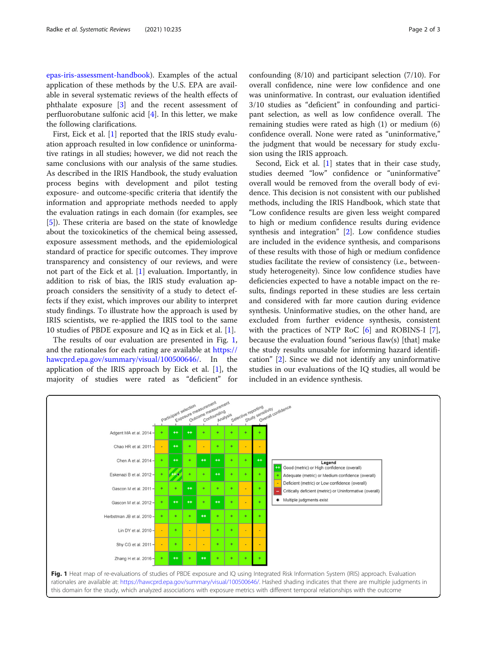[epas-iris-assessment-handbook\)](https://www.nationalacademies.org/our-work/review-of-epas-iris-assessment-handbook). Examples of the actual application of these methods by the U.S. EPA are available in several systematic reviews of the health effects of phthalate exposure [\[3](#page-2-0)] and the recent assessment of perfluorobutane sulfonic acid [[4\]](#page-2-0). In this letter, we make the following clarifications.

First, Eick et al. [\[1](#page-2-0)] reported that the IRIS study evaluation approach resulted in low confidence or uninformative ratings in all studies; however, we did not reach the same conclusions with our analysis of the same studies. As described in the IRIS Handbook, the study evaluation process begins with development and pilot testing exposure- and outcome-specific criteria that identify the information and appropriate methods needed to apply the evaluation ratings in each domain (for examples, see [[5\]](#page-2-0)). These criteria are based on the state of knowledge about the toxicokinetics of the chemical being assessed, exposure assessment methods, and the epidemiological standard of practice for specific outcomes. They improve transparency and consistency of our reviews, and were not part of the Eick et al. [\[1](#page-2-0)] evaluation. Importantly, in addition to risk of bias, the IRIS study evaluation approach considers the sensitivity of a study to detect effects if they exist, which improves our ability to interpret study findings. To illustrate how the approach is used by IRIS scientists, we re-applied the IRIS tool to the same 10 studies of PBDE exposure and IQ as in Eick et al. [\[1](#page-2-0)].

The results of our evaluation are presented in Fig. 1, and the rationales for each rating are available at [https://](https://hawcprd.epa.gov/summary/visual/100500646/) [hawcprd.epa.gov/summary/visual/100500646/.](https://hawcprd.epa.gov/summary/visual/100500646/) In the application of the IRIS approach by Eick et al.  $[1]$  $[1]$ , the majority of studies were rated as "deficient" for confounding (8/10) and participant selection (7/10). For overall confidence, nine were low confidence and one was uninformative. In contrast, our evaluation identified 3/10 studies as "deficient" in confounding and participant selection, as well as low confidence overall. The remaining studies were rated as high (1) or medium (6) confidence overall. None were rated as "uninformative," the judgment that would be necessary for study exclusion using the IRIS approach.

Second, Eick et al. [\[1](#page-2-0)] states that in their case study, studies deemed "low" confidence or "uninformative" overall would be removed from the overall body of evidence. This decision is not consistent with our published methods, including the IRIS Handbook, which state that "Low confidence results are given less weight compared to high or medium confidence results during evidence synthesis and integration" [\[2\]](#page-2-0). Low confidence studies are included in the evidence synthesis, and comparisons of these results with those of high or medium confidence studies facilitate the review of consistency (i.e., betweenstudy heterogeneity). Since low confidence studies have deficiencies expected to have a notable impact on the results, findings reported in these studies are less certain and considered with far more caution during evidence synthesis. Uninformative studies, on the other hand, are excluded from further evidence synthesis, consistent with the practices of NTP RoC [[6\]](#page-2-0) and ROBINS-I [\[7](#page-2-0)], because the evaluation found "serious flaw(s) [that] make the study results unusable for informing hazard identification" [\[2](#page-2-0)]. Since we did not identify any uninformative studies in our evaluations of the IQ studies, all would be included in an evidence synthesis.